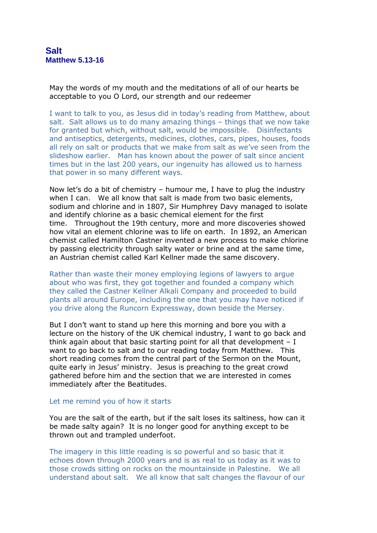May the words of my mouth and the meditations of all of our hearts be acceptable to you O Lord, our strength and our redeemer

I want to talk to you, as Jesus did in today's reading from Matthew, about salt. Salt allows us to do many amazing things – things that we now take for granted but which, without salt, would be impossible. Disinfectants and antiseptics, detergents, medicines, clothes, cars, pipes, houses, foods all rely on salt or products that we make from salt as we've seen from the slideshow earlier. Man has known about the power of salt since ancient times but in the last 200 years, our ingenuity has allowed us to harness that power in so many different ways.

Now let's do a bit of chemistry – humour me, I have to plug the industry when I can. We all know that salt is made from two basic elements, sodium and chlorine and in 1807, Sir Humphrey Davy managed to isolate and identify chlorine as a basic chemical element for the first time. Throughout the 19th century, more and more discoveries showed how vital an element chlorine was to life on earth. In 1892, an American chemist called Hamilton Castner invented a new process to make chlorine by passing electricity through salty water or brine and at the same time, an Austrian chemist called Karl Kellner made the same discovery.

Rather than waste their money employing legions of lawyers to argue about who was first, they got together and founded a company which they called the Castner Kellner Alkali Company and proceeded to build plants all around Europe, including the one that you may have noticed if you drive along the Runcorn Expressway, down beside the Mersey.

But I don't want to stand up here this morning and bore you with a lecture on the history of the UK chemical industry, I want to go back and think again about that basic starting point for all that development  $- I$ want to go back to salt and to our reading today from Matthew. This short reading comes from the central part of the Sermon on the Mount, quite early in Jesus' ministry. Jesus is preaching to the great crowd gathered before him and the section that we are interested in comes immediately after the Beatitudes.

## Let me remind you of how it starts

You are the salt of the earth, but if the salt loses its saltiness, how can it be made salty again? It is no longer good for anything except to be thrown out and trampled underfoot.

The imagery in this little reading is so powerful and so basic that it echoes down through 2000 years and is as real to us today as it was to those crowds sitting on rocks on the mountainside in Palestine. We all understand about salt. We all know that salt changes the flavour of our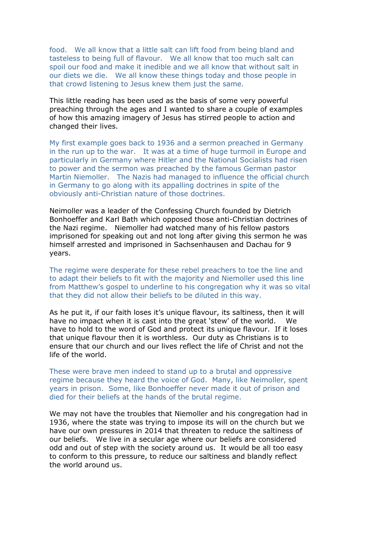food. We all know that a little salt can lift food from being bland and tasteless to being full of flavour. We all know that too much salt can spoil our food and make it inedible and we all know that without salt in our diets we die. We all know these things today and those people in that crowd listening to Jesus knew them just the same.

This little reading has been used as the basis of some very powerful preaching through the ages and I wanted to share a couple of examples of how this amazing imagery of Jesus has stirred people to action and changed their lives.

My first example goes back to 1936 and a sermon preached in Germany in the run up to the war. It was at a time of huge turmoil in Europe and particularly in Germany where Hitler and the National Socialists had risen to power and the sermon was preached by the famous German pastor Martin Niemoller. The Nazis had managed to influence the official church in Germany to go along with its appalling doctrines in spite of the obviously anti-Christian nature of those doctrines.

Neimoller was a leader of the Confessing Church founded by Dietrich Bonhoeffer and Karl Bath which opposed those anti-Christian doctrines of the Nazi regime. Niemoller had watched many of his fellow pastors imprisoned for speaking out and not long after giving this sermon he was himself arrested and imprisoned in Sachsenhausen and Dachau for 9 years.

The regime were desperate for these rebel preachers to toe the line and to adapt their beliefs to fit with the majority and Niemoller used this line from Matthew's gospel to underline to his congregation why it was so vital that they did not allow their beliefs to be diluted in this way.

As he put it, if our faith loses it's unique flavour, its saltiness, then it will have no impact when it is cast into the great 'stew' of the world. We have to hold to the word of God and protect its unique flavour. If it loses that unique flavour then it is worthless. Our duty as Christians is to ensure that our church and our lives reflect the life of Christ and not the life of the world.

These were brave men indeed to stand up to a brutal and oppressive regime because they heard the voice of God. Many, like Neimoller, spent years in prison. Some, like Bonhoeffer never made it out of prison and died for their beliefs at the hands of the brutal regime.

We may not have the troubles that Niemoller and his congregation had in 1936, where the state was trying to impose its will on the church but we have our own pressures in 2014 that threaten to reduce the saltiness of our beliefs. We live in a secular age where our beliefs are considered odd and out of step with the society around us. It would be all too easy to conform to this pressure, to reduce our saltiness and blandly reflect the world around us.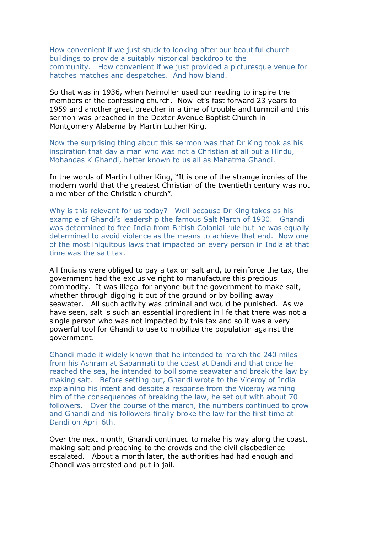How convenient if we just stuck to looking after our beautiful church buildings to provide a suitably historical backdrop to the community. How convenient if we just provided a picturesque venue for hatches matches and despatches. And how bland.

So that was in 1936, when Neimoller used our reading to inspire the members of the confessing church. Now let's fast forward 23 years to 1959 and another great preacher in a time of trouble and turmoil and this sermon was preached in the Dexter Avenue Baptist Church in Montgomery Alabama by Martin Luther King.

Now the surprising thing about this sermon was that Dr King took as his inspiration that day a man who was not a Christian at all but a Hindu, Mohandas K Ghandi, better known to us all as Mahatma Ghandi.

In the words of Martin Luther King, "It is one of the strange ironies of the modern world that the greatest Christian of the twentieth century was not a member of the Christian church".

Why is this relevant for us today? Well because Dr King takes as his example of Ghandi's leadership the famous Salt March of 1930. Ghandi was determined to free India from British Colonial rule but he was equally determined to avoid violence as the means to achieve that end. Now one of the most iniquitous laws that impacted on every person in India at that time was the salt tax.

All Indians were obliged to pay a tax on salt and, to reinforce the tax, the government had the exclusive right to manufacture this precious commodity. It was illegal for anyone but the government to make salt, whether through digging it out of the ground or by boiling away seawater. All such activity was criminal and would be punished. As we have seen, salt is such an essential ingredient in life that there was not a single person who was not impacted by this tax and so it was a very powerful tool for Ghandi to use to mobilize the population against the government.

Ghandi made it widely known that he intended to march the 240 miles from his Ashram at Sabarmati to the coast at Dandi and that once he reached the sea, he intended to boil some seawater and break the law by making salt. Before setting out, Ghandi wrote to the Viceroy of India explaining his intent and despite a response from the Viceroy warning him of the consequences of breaking the law, he set out with about 70 followers. Over the course of the march, the numbers continued to grow and Ghandi and his followers finally broke the law for the first time at Dandi on April 6th.

Over the next month, Ghandi continued to make his way along the coast, making salt and preaching to the crowds and the civil disobedience escalated. About a month later, the authorities had had enough and Ghandi was arrested and put in jail.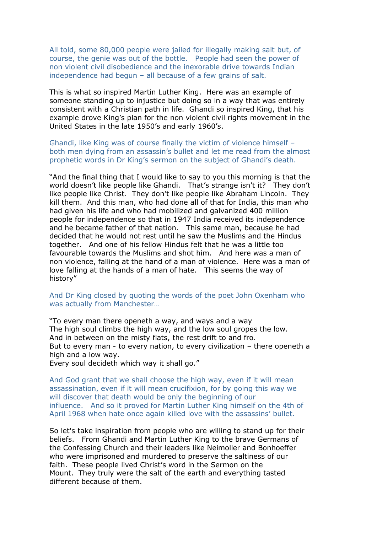All told, some 80,000 people were jailed for illegally making salt but, of course, the genie was out of the bottle. People had seen the power of non violent civil disobedience and the inexorable drive towards Indian independence had begun – all because of a few grains of salt.

This is what so inspired Martin Luther King. Here was an example of someone standing up to injustice but doing so in a way that was entirely consistent with a Christian path in life. Ghandi so inspired King, that his example drove King's plan for the non violent civil rights movement in the United States in the late 1950's and early 1960's.

Ghandi, like King was of course finally the victim of violence himself – both men dying from an assassin's bullet and let me read from the almost prophetic words in Dr King's sermon on the subject of Ghandi's death.

"And the final thing that I would like to say to you this morning is that the world doesn't like people like Ghandi. That's strange isn't it? They don't like people like Christ. They don't like people like Abraham Lincoln. They kill them. And this man, who had done all of that for India, this man who had given his life and who had mobilized and galvanized 400 million people for independence so that in 1947 India received its independence and he became father of that nation. This same man, because he had decided that he would not rest until he saw the Muslims and the Hindus together. And one of his fellow Hindus felt that he was a little too favourable towards the Muslims and shot him. And here was a man of non violence, falling at the hand of a man of violence. Here was a man of love falling at the hands of a man of hate. This seems the way of history"

And Dr King closed by quoting the words of the poet John Oxenham who was actually from Manchester…

"To every man there openeth a way, and ways and a way The high soul climbs the high way, and the low soul gropes the low. And in between on the misty flats, the rest drift to and fro. But to every man - to every nation, to every civilization – there openeth a high and a low way.

Every soul decideth which way it shall go."

And God grant that we shall choose the high way, even if it will mean assassination, even if it will mean crucifixion, for by going this way we will discover that death would be only the beginning of our influence. And so it proved for Martin Luther King himself on the 4th of April 1968 when hate once again killed love with the assassins' bullet.

So let's take inspiration from people who are willing to stand up for their beliefs. From Ghandi and Martin Luther King to the brave Germans of the Confessing Church and their leaders like Neimoller and Bonhoeffer who were imprisoned and murdered to preserve the saltiness of our faith. These people lived Christ's word in the Sermon on the Mount. They truly were the salt of the earth and everything tasted different because of them.